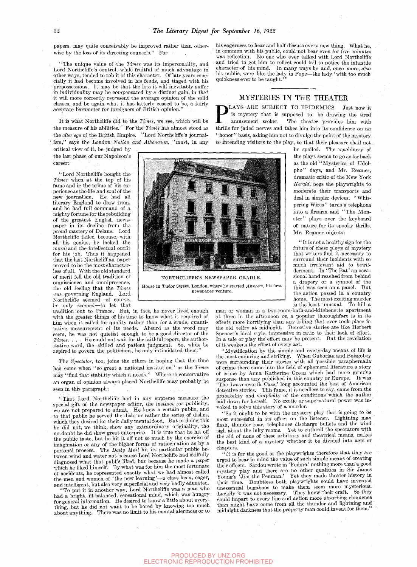papers, may quite conceivably be improved rather than otherwise by the loss of its directing counsels." For—

"The unique value of the *Times* was its impersonality, and Lord Northeliffe's control, while fruitful of much advantage in other ways, tended to rob it of this character. Of late years especially it had become involved in his feuds, and tinged with his prepossessions. It may be that the loss it will inevitably suffer in individuality may be compensated by a distinct gain, in that it will more correctly represent the average opinion of the solid classes, and be again what it has latterly ceased to be, a fairly accurate barometer for foreigners of British opinion."

It is what Northcliffe did to the *Times,* we see, which will be the measure of his abilities. For the  $Times$  has almost stood as the *alter ego* of the British. Empire. "Lord Northcliffe's journalism," says the London Nation and Athenaum, "must, in any

critical view of it, be judged by \_ the last phase of our Napoleon's career:

"Lord Northcliffe bought the *Times* when at the. top of his fame and in the prime of his experience as the life and soul of the new journalism. He had all literary England to draw from, and he had full command of a mighty fortune for the rebuilding of the greatest English newspaper in its decline from tho proud mastery of Delane. Lord Northcliffe failed because, with all his genius, he lacked the moral and the intellectual outfit for his job. Thus it happened that the last Northcliffian paper proved to be the most characterless of all. With the old standard of merit fell the old tradition of omniscience and omnipresence, the old feeling that the *Times was* governing England. Lord was governing migrand. Lord Northeliffe seemed—of course,<br>he only seemed—to let that

tradition out to France. But, in fact, he never lived enough with the greater things of his time to know what it required of him when it called for quality rather than for a crude, quantitative measurement of its needs. Absurd as the word may seem, he was not quietist enough to be a good director of the *Times. . . .* He could not wait for the faithful report, the authoritative word, the skilled and patient judgment. So, while he aspired to govern the politicians, he only intimidated them.

The *Spectator,* too, joins the others in hoping that the time has come when "so great a national institution" as the *Times*  may "find that stability which it needs." Where so conservative an organ of opinion always placed Northcliffe may probably be seen in this paragraph:

"That Lord Northcliffe had in any supreme measure the special gift of the newspaper editor, the instinct for publicity, we are not prepared to admit. He knew a certain public, and . to that public he served the dish, or rather the series of dishes, which they desired for their daily mental food. But in doing this he did not, we think, show any extraordinary originality, tho no-doubt he did show great enterprise. It is true that he hit.off the public taste, but he hit it off not so much by the exercise of imagination or any of the higher forms of ratiocination as by a personal process. The *Daily Mail* hit its particular public bepersonal process. The  $Daily$  *Mail* hit its particular public between wind and water not because Lord Northcliffe had skilfully diagnosed what that public liked, but because he made a paper which he liked himself. By what was for him the most fortunate of accidents, he represented exactly what we had almost called the men and women of 'the new learning'—a class keen, eager, and intelligent, but also very superficial and very badly educated.

"To put it in another way, Lord Northcliffe was a man who had a bright, ill-balanced, sensational mind, which was hungry for general information. He desired to know a little about everything, but he did not want to be bored by knowing too much about anything. There was no limit to his mental alertness or to his eagerness to hear and halt discuss every new thing. What he, in common with his public, could not bear even for five minutes was reflection. No one who ever talked with Lord Northcliffe and tried to get him to reflect could fail to notice the infantile character of his mind. In many ways he and, once more, also his public, were like the lady in Pope—the lady 'with too much quickness ever to be taught.'

## MYSTERIES IN THE THEATER

**PLAYS ARE SUBJECT TO EPIDEMICS.** Just now it is mystery that is supposed to be drawing the tired amusement seeker. The theater provides him with thrills for jaded nerves and takes him into its confidence on an LAYS ARE SUBJECT TO EPIDEMICS. Just now it is mystery that is supposed to be drawing the tired amusement seeker. The theater provides him with '' honor'' basis, asking him not to divulge the point of the mystery to intending visitors to the play, so that their pleasure shall not

be spoiled. The machinery of the plays seems to go as far back as the old "Mysteries of Udolpho" days, and Mr. Reamer, dramatic critic of the New York *Herald,* begs the playwrights to moderate their transports and deal in simpler devices. "Whispering Wires" turns a telephone into a firearm and "The Monster" plays over the keyboard of nature for its spooky thrills. Mr. Reamer objects: **il» •» ' I P ^ !s? '•'•'^'^** 

> " It is not a healthy sign for the future of these plays of mystery that writers find it necessary to surround their incidents with so much irrelevant aid to bewilderment. In 'The Bat' an occasional hand reached from behind a drapery or a symbol of the thief was seen on a panel. But the action passed in a country home. The most exciting murder is the least unusual. To kill a

man or woman in a two-room-bath-and-kitchenette apartment at three in the afternoon on a popular thoroughfare is in its effects more horrifying than any killing that ever took place in the old belfry at midnight. Detective stories are like Herbert Spencer's ideal style, impressive in ratio to their lack of effort. In a tale or play the effort may be present. But the revelation of it weakens the effect of every act.

"Mystification by the simple and every-day means of life is the most enduring and striking. When Gaboriau and Boisgobey were surrounding their stories with all possible paraphernalia of crime there came into the field of ephemeral literature a story of crime by Anna Katherine Green which had more genuine suspense than any published in this country or Europe. It was 'The Leavenworth Case,' long accounted the best of American detective stories. This fame, it is needless to say, came from the probability and simplicity of the conditions which the author laid down for herself. No exotic or supernatural power was invoked to solve this story of a murder.

"So it ought to be with the mystery play that is going to be most successful in its effect on the listener. Lightning may flash, thunder roar, telephones discharge bullets and the wind sigh about the inky rooms. Yet to enthrall the spectators with the aid of none of these arbitrary and theatrical means, makes the best kind of a mystery whether it be divided into acts or chapters.

" It is for the good of the playwrights therefore that they are urged to bear in mind the value of such simple means of creating their effects. Sardou wrote in ' Fedora' nothing more than a good mystery play and there are no other qualities in Sir James Young's 'Jim the Penman.' Yet they made theater history in their time. Doubtless both playwrights could have invented unessential bugaboos to make them seem more mysterious. Luckily it was not necessary. They knew their craft. So they could impart to every line and action more absorbing eloquence than might have come from all the thunder and lightning and midnight darkness that the property man could invent for them."



**\* S. f i** 

**Jl S I 1 f |;^5^** 

newspaper venture.